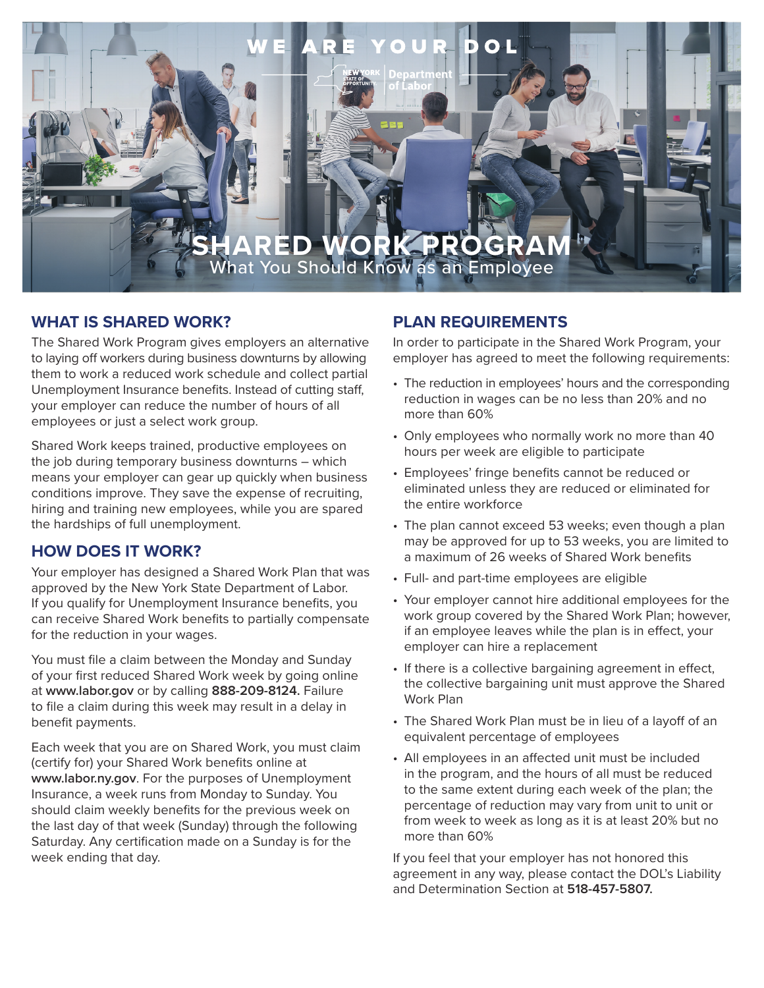

# **WHAT IS SHARED WORK?**

The Shared Work Program gives employers an alternative to laying off workers during business downturns by allowing them to work a reduced work schedule and collect partial Unemployment Insurance benefits. Instead of cutting staff, your employer can reduce the number of hours of all employees or just a select work group.

Shared Work keeps trained, productive employees on the job during temporary business downturns – which means your employer can gear up quickly when business conditions improve. They save the expense of recruiting, hiring and training new employees, while you are spared the hardships of full unemployment.

## **HOW DOES IT WORK?**

Your employer has designed a Shared Work Plan that was approved by the New York State Department of Labor. If you qualify for Unemployment Insurance benefits, you can receive Shared Work benefits to partially compensate for the reduction in your wages.

You must file a claim between the Monday and Sunday of your first reduced Shared Work week by going online at **www.labor.gov** or by calling **888-209-8124.** Failure to file a claim during this week may result in a delay in benefit payments.

Each week that you are on Shared Work, you must claim (certify for) your Shared Work benefits online at **www.labor.ny.gov**. For the purposes of Unemployment Insurance, a week runs from Monday to Sunday. You should claim weekly benefits for the previous week on the last day of that week (Sunday) through the following Saturday. Any certification made on a Sunday is for the week ending that day.

# **PLAN REQUIREMENTS**

In order to participate in the Shared Work Program, your employer has agreed to meet the following requirements:

- The reduction in employees' hours and the corresponding reduction in wages can be no less than 20% and no more than 60%
- Only employees who normally work no more than 40 hours per week are eligible to participate
- Employees' fringe benefits cannot be reduced or eliminated unless they are reduced or eliminated for the entire workforce
- The plan cannot exceed 53 weeks; even though a plan may be approved for up to 53 weeks, you are limited to a maximum of 26 weeks of Shared Work benefits
- Full- and part-time employees are eligible
- Your employer cannot hire additional employees for the work group covered by the Shared Work Plan; however, if an employee leaves while the plan is in effect, your employer can hire a replacement
- If there is a collective bargaining agreement in effect, the collective bargaining unit must approve the Shared Work Plan
- The Shared Work Plan must be in lieu of a layoff of an equivalent percentage of employees
- All employees in an affected unit must be included in the program, and the hours of all must be reduced to the same extent during each week of the plan; the percentage of reduction may vary from unit to unit or from week to week as long as it is at least 20% but no more than 60%

If you feel that your employer has not honored this agreement in any way, please contact the DOL's Liability and Determination Section at **518-457-5807.**